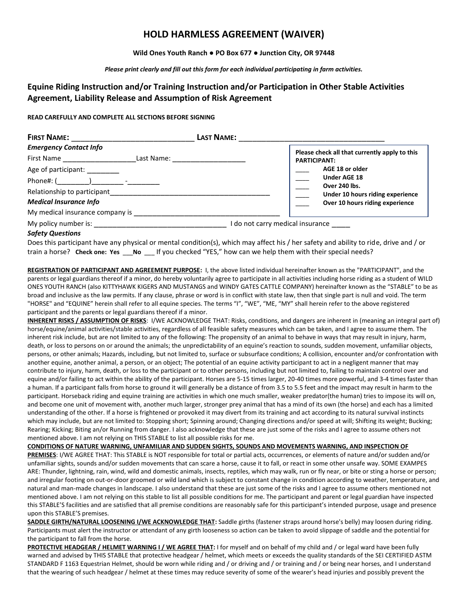# **HOLD HARMLESS AGREEMENT (WAIVER)**

## **Wild Ones Youth Ranch ● PO Box 677 ● Junction City, OR 97448**

### *Please print clearly and fill out this form for each individual participating in farm activities.*

# **Equine Riding Instruction and/or Training Instruction and/or Participation in Other Stable Activities Agreement, Liability Release and Assumption of Risk Agreement**

## **READ CAREFULLY AND COMPLETE ALL SECTIONS BEFORE SIGNING**

| <b>FIRST NAME:</b>                                        | <b>LAST NAME:</b>              |                                                                      |
|-----------------------------------------------------------|--------------------------------|----------------------------------------------------------------------|
| <b>Emergency Contact Info</b><br>First Name               | Last Name: ___________________ | Please check all that currently apply to this<br><b>PARTICIPANT:</b> |
| Age of participant: _______<br>Phone#: ( ) ____ -________ |                                | AGE 18 or older<br><b>Under AGE 18</b><br>Over 240 lbs.              |
| <b>Medical Insurance Info</b>                             |                                | Under 10 hours riding experience<br>Over 10 hours riding experience  |
| My medical insurance company is                           |                                |                                                                      |
| My policy number is:                                      |                                | do not carry medical insurance                                       |

## *Safety Questions*

Does this participant have any physical or mental condition(s), which may affect his / her safety and ability to ride, drive and / or train a horse? **Check one: Yes No** If you checked "YES," how can we help them with their special needs?

**REGISTRATION OF PARTICIPANT AND AGREEMENT PURPOSE:** I, the above listed individual hereinafter known as the "PARTICIPANT", and the parents or legal guardians thereof if a minor, do hereby voluntarily agree to participate in all activities including horse riding as a student of WILD ONES YOUTH RANCH (also KITTYHAWK KIGERS AND MUSTANGS and WINDY GATES CATTLE COMPANY) hereinafter known as the "STABLE" to be as broad and inclusive as the law permits. If any clause, phrase or word is in conflict with state law, then that single part is null and void. The term "HORSE" and "EQUINE" herein shall refer to all equine species. The terms "I", "WE", "ME, "MY" shall herein refer to the above registered participant and the parents or legal guardians thereof if a minor.

**INHERENT RISKS / ASSUMPTION OF RISKS**: I/WE ACKNOWLEDGE THAT: Risks, conditions, and dangers are inherent in (meaning an integral part of) horse/equine/animal activities/stable activities, regardless of all feasible safety measures which can be taken, and I agree to assume them. The inherent risk include, but are not limited to any of the following: The propensity of an animal to behave in ways that may result in injury, harm, death, or loss to persons on or around the animals; the unpredictability of an equine's reaction to sounds, sudden movement, unfamiliar objects, persons, or other animals; Hazards, including, but not limited to, surface or subsurface conditions; A collision, encounter and/or confrontation with another equine, another animal, a person, or an object; The potential of an equine activity participant to act in a negligent manner that may contribute to injury, harm, death, or loss to the participant or to other persons, including but not limited to, failing to maintain control over and equine and/or failing to act within the ability of the participant. Horses are 5-15 times larger, 20-40 times more powerful, and 3-4 times faster than a human. If a participant falls from horse to ground it will generally be a distance of from 3.5 to 5.5 feet and the impact may result in harm to the participant. Horseback riding and equine training are activities in which one much smaller, weaker predator(the human) tries to impose its will on, and become one unit of movement with, another much larger, stronger prey animal that has a mind of its own (the horse) and each has a limited understanding of the other. If a horse is frightened or provoked it may divert from its training and act according to its natural survival instincts which may include, but are not limited to: Stopping short; Spinning around; Changing directions and/or speed at will; Shifting its weight; Bucking; Rearing; Kicking; Biting an/or Running from danger. I also acknowledge that these are just some of the risks and I agree to assume others not mentioned above. I am not relying on THIS STABLE to list all possible risks for me.

#### **CONDITIONS OF NATURE WARNING, UNFAMILIAR AND SUDDEN SIGHTS, SOUNDS AND MOVEMENTS WARNING, AND INSPECTION OF**

**PREMISES**: I/WE AGREE THAT: This STABLE is NOT responsible for total or partial acts, occurrences, or elements of nature and/or sudden and/or unfamiliar sights, sounds and/or sudden movements that can scare a horse, cause it to fall, or react in some other unsafe way. SOME EXAMPES ARE: Thunder, lightning, rain, wind, wild and domestic animals, insects, reptiles, which may walk, run or fly near, or bite or sting a horse or person; and irregular footing on out-or-door groomed or wild land which is subject to constant change in condition according to weather, temperature, and natural and man-made changes in landscape. I also understand that these are just some of the risks and I agree to assume others mentioned not mentioned above. I am not relying on this stable to list all possible conditions for me. The participant and parent or legal guardian have inspected this STABLE'S facilities and are satisfied that all premise conditions are reasonably safe for this participant's intended purpose, usage and presence upon this STABLE'S premises.

**SADDLE GIRTH/NATURAL LOOSENING I/WE ACKNOWLEDGE THAT:** Saddle girths (fastener straps around horse's belly) may loosen during riding. Participants must alert the instructor or attendant of any girth looseness so action can be taken to avoid slippage of saddle and the potential for the participant to fall from the horse.

**PROTECTIVE HEADGEAR / HELMET WARNING I / WE AGREE THAT:** I for myself and on behalf of my child and / or legal ward have been fully warned and advised by THIS STABLE that protective headgear / helmet, which meets or exceeds the quality standards of the SEI CERTIFIED ASTM STANDARD F 1163 Equestrian Helmet, should be worn while riding and / or driving and / or training and / or being near horses, and I understand that the wearing of such headgear / helmet at these times may reduce severity of some of the wearer's head injuries and possibly prevent the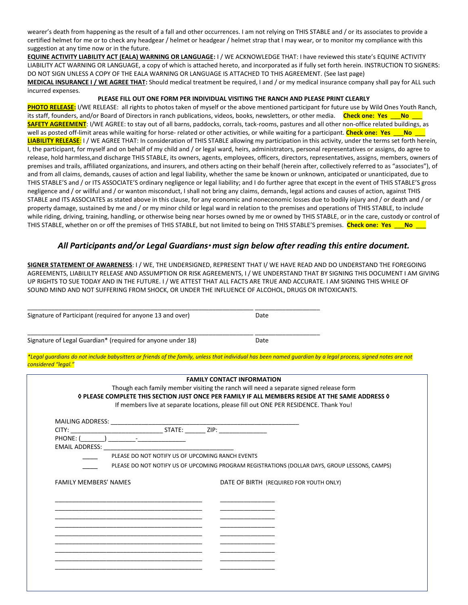wearer's death from happening as the result of a fall and other occurrences. I am not relying on THIS STABLE and / or its associates to provide a certified helmet for me or to check any headgear / helmet or headgear / helmet strap that I may wear, or to monitor my compliance with this suggestion at any time now or in the future.

**EQUINE ACTIVITY LIABILITY ACT (EALA) WARNING OR LANGUAGE:** I / WE ACKNOWLEDGE THAT: I have reviewed this state's EQUINE ACTIVITY LIABILITY ACT WARNING OR LANGUAGE, a copy of which is attached hereto, and incorporated as if fully set forth herein. INSTRUCTION TO SIGNERS: DO NOT SIGN UNLESS A COPY OF THE EALA WARNING OR LANGUAGE IS ATTACHED TO THIS AGREEMENT. (See last page) **MEDICAL INSURANCE I / WE AGREE THAT:** Should medical treatment be required, I and / or my medical insurance company shall pay for ALL such incurred expenses.

### **PLEASE FILL OUT ONE FORM PER INDIVIDUAL VISITING THE RANCH AND PLEASE PRINT CLEARLY**

**PHOTO RELEASE:** I/WE RELEASE: all rights to photos taken of myself or the above mentioned participant for future use by Wild Ones Youth Ranch, its staff, founders, and/or Board of Directors in ranch publications, videos, books, newsletters, or other media. **Check one: Yes** \_\_\_**No** \_\_\_ **SAFETY AGREEMENT**: I/WE AGREE: to stay out of all barns, paddocks, corrals, tack-rooms, pastures and all other non-office related buildings, as well as posted off-limit areas while waiting for horse- related or other activities, or while waiting for a participant. **Check one: Yes** \_\_\_**No** \_\_\_ **LIABILITY RELEASE**: I / WE AGREE THAT: In consideration of THIS STABLE allowing my participation in this activity, under the terms set forth herein, I, the participant, for myself and on behalf of my child and / or legal ward, heirs, administrators, personal representatives or assigns, do agree to release, hold harmless,and discharge THIS STABLE, its owners, agents, employees, officers, directors, representatives, assigns, members, owners of premises and trails, affiliated organizations, and insurers, and others acting on their behalf (herein after, collectively referred to as "associates"), of and from all claims, demands, causes of action and legal liability, whether the same be known or unknown, anticipated or unanticipated, due to THIS STABLE'S and / or ITS ASSOCIATE'S ordinary negligence or legal liability; and I do further agree that except in the event of THIS STABLE'S gross negligence and / or willful and / or wanton misconduct, I shall not bring any claims, demands, legal actions and causes of action, against THIS STABLE and ITS ASSOCIATES as stated above in this clause, for any economic and noneconomic losses due to bodily injury and / or death and / or property damage, sustained by me and / or my minor child or legal ward in relation to the premises and operations of THIS STABLE, to include while riding, driving, training, handling, or otherwise being near horses owned by me or owned by THIS STABLE, or in the care, custody or control of THIS STABLE, whether on or off the premises of THIS STABLE, but not limited to being on THIS STABLE'S premises. **Check one: Yes** \_\_\_**No** \_\_\_

# *All Participants and/or Legal Guardians\* must sign below after reading this entire document.*

**SIGNER STATEMENT OF AWARENESS**: I / WE, THE UNDERSIGNED, REPRESENT THAT I/ WE HAVE READ AND DO UNDERSTAND THE FOREGOING AGREEMENTS, LIABILILTY RELEASE AND ASSUMPTION OR RISK AGREEMENTS, I / WE UNDERSTAND THAT BY SIGNING THIS DOCUMENT I AM GIVING UP RIGHTS TO SUE TODAY AND IN THE FUTURE. I / WE ATTEST THAT ALL FACTS ARE TRUE AND ACCURATE. I AM SIGNING THIS WHILE OF SOUND MIND AND NOT SUFFERING FROM SHOCK, OR UNDER THE INFLUENCE OF ALCOHOL, DRUGS OR INTOXICANTS.

| Signature of Participant (required for anyone 13 and over) | Date |  |
|------------------------------------------------------------|------|--|
|                                                            |      |  |
|                                                            |      |  |

Signature of Legal Guardian\* (required for anyone under 18) Date

*\*Legal guardians do not include babysitters or friends of the family, unless that individual has been named guardian by a legal process, signed notes are not considered "legal."*

|                              |                                                  |  | Though each family member visiting the ranch will need a separate signed release form<br>O PLEASE COMPLETE THIS SECTION JUST ONCE PER FAMILY IF ALL MEMBERS RESIDE AT THE SAME ADDRESS O |  |  |
|------------------------------|--------------------------------------------------|--|------------------------------------------------------------------------------------------------------------------------------------------------------------------------------------------|--|--|
|                              |                                                  |  | If members live at separate locations, please fill out ONE PER RESIDENCE. Thank You!                                                                                                     |  |  |
|                              |                                                  |  |                                                                                                                                                                                          |  |  |
|                              |                                                  |  |                                                                                                                                                                                          |  |  |
|                              |                                                  |  |                                                                                                                                                                                          |  |  |
|                              |                                                  |  |                                                                                                                                                                                          |  |  |
|                              | PLEASE DO NOT NOTIFY US OF UPCOMING RANCH EVENTS |  |                                                                                                                                                                                          |  |  |
|                              |                                                  |  | PLEASE DO NOT NOTIFY US OF UPCOMING PROGRAM REGISTRATIONS (DOLLAR DAYS, GROUP LESSONS, CAMPS)                                                                                            |  |  |
|                              |                                                  |  |                                                                                                                                                                                          |  |  |
|                              |                                                  |  |                                                                                                                                                                                          |  |  |
| <b>FAMILY MEMBERS' NAMES</b> |                                                  |  | DATE OF BIRTH (REQUIRED FOR YOUTH ONLY)                                                                                                                                                  |  |  |
|                              |                                                  |  |                                                                                                                                                                                          |  |  |
|                              |                                                  |  |                                                                                                                                                                                          |  |  |
|                              |                                                  |  |                                                                                                                                                                                          |  |  |
|                              |                                                  |  |                                                                                                                                                                                          |  |  |
|                              |                                                  |  |                                                                                                                                                                                          |  |  |
|                              |                                                  |  |                                                                                                                                                                                          |  |  |
|                              |                                                  |  |                                                                                                                                                                                          |  |  |
|                              |                                                  |  |                                                                                                                                                                                          |  |  |
|                              |                                                  |  |                                                                                                                                                                                          |  |  |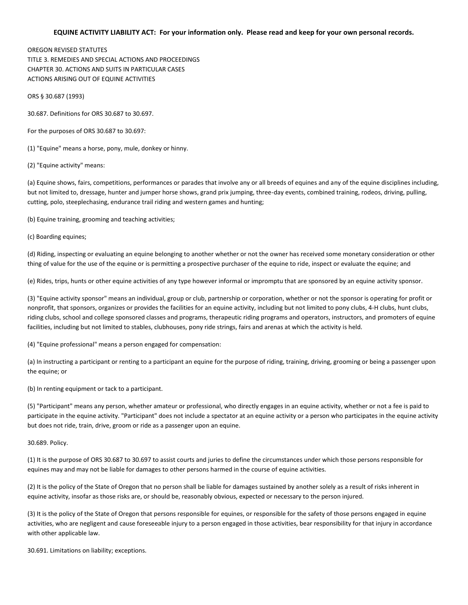## **EQUINE ACTIVITY LIABILITY ACT: For your information only. Please read and keep for your own personal records.**

## OREGON REVISED STATUTES TITLE 3. REMEDIES AND SPECIAL ACTIONS AND PROCEEDINGS CHAPTER 30. ACTIONS AND SUITS IN PARTICULAR CASES ACTIONS ARISING OUT OF EQUINE ACTIVITIES

ORS § 30.687 (1993)

30.687. Definitions for ORS 30.687 to 30.697.

For the purposes of ORS 30.687 to 30.697:

(1) "Equine" means a horse, pony, mule, donkey or hinny.

(2) "Equine activity" means:

(a) Equine shows, fairs, competitions, performances or parades that involve any or all breeds of equines and any of the equine disciplines including, but not limited to, dressage, hunter and jumper horse shows, grand prix jumping, three-day events, combined training, rodeos, driving, pulling, cutting, polo, steeplechasing, endurance trail riding and western games and hunting;

(b) Equine training, grooming and teaching activities;

(c) Boarding equines;

(d) Riding, inspecting or evaluating an equine belonging to another whether or not the owner has received some monetary consideration or other thing of value for the use of the equine or is permitting a prospective purchaser of the equine to ride, inspect or evaluate the equine; and

(e) Rides, trips, hunts or other equine activities of any type however informal or impromptu that are sponsored by an equine activity sponsor.

(3) "Equine activity sponsor" means an individual, group or club, partnership or corporation, whether or not the sponsor is operating for profit or nonprofit, that sponsors, organizes or provides the facilities for an equine activity, including but not limited to pony clubs, 4-H clubs, hunt clubs, riding clubs, school and college sponsored classes and programs, therapeutic riding programs and operators, instructors, and promoters of equine facilities, including but not limited to stables, clubhouses, pony ride strings, fairs and arenas at which the activity is held.

(4) "Equine professional" means a person engaged for compensation:

(a) In instructing a participant or renting to a participant an equine for the purpose of riding, training, driving, grooming or being a passenger upon the equine; or

(b) In renting equipment or tack to a participant.

(5) "Participant" means any person, whether amateur or professional, who directly engages in an equine activity, whether or not a fee is paid to participate in the equine activity. "Participant" does not include a spectator at an equine activity or a person who participates in the equine activity but does not ride, train, drive, groom or ride as a passenger upon an equine.

30.689. Policy.

(1) It is the purpose of ORS 30.687 to 30.697 to assist courts and juries to define the circumstances under which those persons responsible for equines may and may not be liable for damages to other persons harmed in the course of equine activities.

(2) It is the policy of the State of Oregon that no person shall be liable for damages sustained by another solely as a result of risks inherent in equine activity, insofar as those risks are, or should be, reasonably obvious, expected or necessary to the person injured.

(3) It is the policy of the State of Oregon that persons responsible for equines, or responsible for the safety of those persons engaged in equine activities, who are negligent and cause foreseeable injury to a person engaged in those activities, bear responsibility for that injury in accordance with other applicable law.

30.691. Limitations on liability; exceptions.